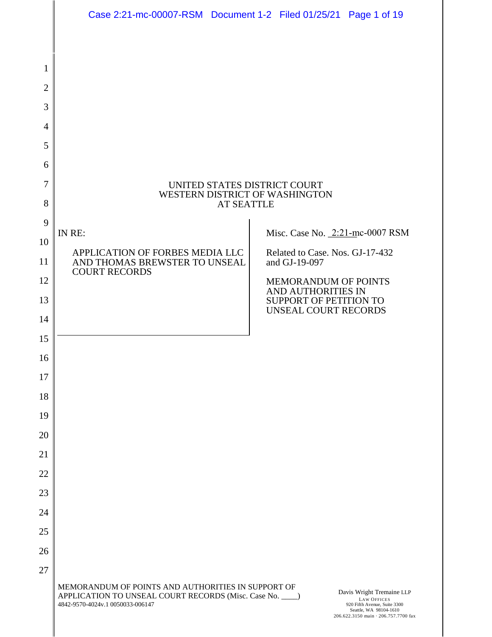|              | Case 2:21-mc-00007-RSM  Document 1-2  Filed 01/25/21  Page 1 of 19                                                                                 |                                                     |                                                                    |                                                                                                                                                   |
|--------------|----------------------------------------------------------------------------------------------------------------------------------------------------|-----------------------------------------------------|--------------------------------------------------------------------|---------------------------------------------------------------------------------------------------------------------------------------------------|
|              |                                                                                                                                                    |                                                     |                                                                    |                                                                                                                                                   |
| 1            |                                                                                                                                                    |                                                     |                                                                    |                                                                                                                                                   |
| $\mathbf{2}$ |                                                                                                                                                    |                                                     |                                                                    |                                                                                                                                                   |
| 3            |                                                                                                                                                    |                                                     |                                                                    |                                                                                                                                                   |
| 4            |                                                                                                                                                    |                                                     |                                                                    |                                                                                                                                                   |
| 5            |                                                                                                                                                    |                                                     |                                                                    |                                                                                                                                                   |
| 6            |                                                                                                                                                    |                                                     |                                                                    |                                                                                                                                                   |
| 7            |                                                                                                                                                    | UNITED STATES DISTRICT COURT                        |                                                                    |                                                                                                                                                   |
| 8            |                                                                                                                                                    | WESTERN DISTRICT OF WASHINGTON<br><b>AT SEATTLE</b> |                                                                    |                                                                                                                                                   |
| 9            |                                                                                                                                                    |                                                     |                                                                    |                                                                                                                                                   |
| 10           | IN RE:<br>APPLICATION OF FORBES MEDIA LLC                                                                                                          |                                                     | Misc. Case No. 2:21-mc-0007 RSM<br>Related to Case. Nos. GJ-17-432 |                                                                                                                                                   |
| 11           | AND THOMAS BREWSTER TO UNSEAL<br><b>COURT RECORDS</b>                                                                                              |                                                     | and GJ-19-097                                                      |                                                                                                                                                   |
| 12           |                                                                                                                                                    |                                                     | <b>MEMORANDUM OF POINTS</b><br>AND AUTHORITIES IN                  |                                                                                                                                                   |
| 13           |                                                                                                                                                    |                                                     | SUPPORT OF PETITION TO<br><b>UNSEAL COURT RECORDS</b>              |                                                                                                                                                   |
| 14           |                                                                                                                                                    |                                                     |                                                                    |                                                                                                                                                   |
| 15           |                                                                                                                                                    |                                                     |                                                                    |                                                                                                                                                   |
| 16           |                                                                                                                                                    |                                                     |                                                                    |                                                                                                                                                   |
| 17           |                                                                                                                                                    |                                                     |                                                                    |                                                                                                                                                   |
| 18           |                                                                                                                                                    |                                                     |                                                                    |                                                                                                                                                   |
| 19<br>20     |                                                                                                                                                    |                                                     |                                                                    |                                                                                                                                                   |
| 21           |                                                                                                                                                    |                                                     |                                                                    |                                                                                                                                                   |
| 22           |                                                                                                                                                    |                                                     |                                                                    |                                                                                                                                                   |
| 23           |                                                                                                                                                    |                                                     |                                                                    |                                                                                                                                                   |
| 24           |                                                                                                                                                    |                                                     |                                                                    |                                                                                                                                                   |
| 25           |                                                                                                                                                    |                                                     |                                                                    |                                                                                                                                                   |
| 26           |                                                                                                                                                    |                                                     |                                                                    |                                                                                                                                                   |
| 27           |                                                                                                                                                    |                                                     |                                                                    |                                                                                                                                                   |
|              | MEMORANDUM OF POINTS AND AUTHORITIES IN SUPPORT OF<br>APPLICATION TO UNSEAL COURT RECORDS (Misc. Case No. ___)<br>4842-9570-4024v.1 0050033-006147 |                                                     |                                                                    | Davis Wright Tremaine LLP<br><b>LAW OFFICES</b><br>920 Fifth Avenue, Suite 3300<br>Seattle, WA 98104-1610<br>206.622.3150 main · 206.757.7700 fax |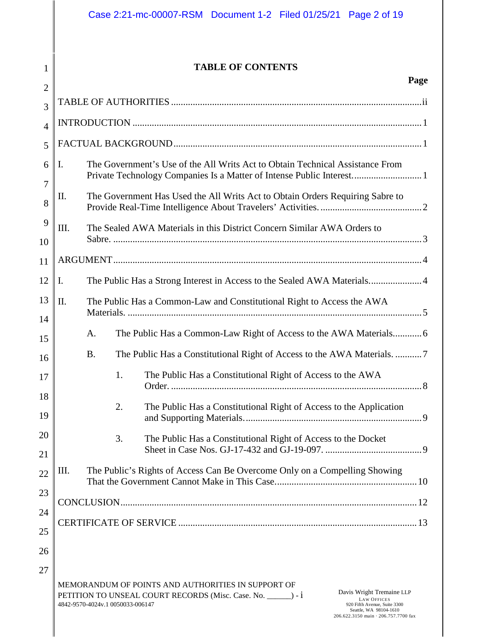### **TABLE OF CONTENTS**

1

| $\overline{2}$ | rage                                                                                                                                                                                                                                                                                                          |
|----------------|---------------------------------------------------------------------------------------------------------------------------------------------------------------------------------------------------------------------------------------------------------------------------------------------------------------|
| 3              |                                                                                                                                                                                                                                                                                                               |
| $\overline{4}$ |                                                                                                                                                                                                                                                                                                               |
| 5              |                                                                                                                                                                                                                                                                                                               |
| 6              | The Government's Use of the All Writs Act to Obtain Technical Assistance From<br>Ι.<br>Private Technology Companies Is a Matter of Intense Public Interest 1                                                                                                                                                  |
| 7<br>8         | The Government Has Used the All Writs Act to Obtain Orders Requiring Sabre to<br>П.                                                                                                                                                                                                                           |
| 9<br>10        | III.<br>The Sealed AWA Materials in this District Concern Similar AWA Orders to                                                                                                                                                                                                                               |
| 11             |                                                                                                                                                                                                                                                                                                               |
| 12             | The Public Has a Strong Interest in Access to the Sealed AWA Materials4<br>Ι.                                                                                                                                                                                                                                 |
| 13             | The Public Has a Common-Law and Constitutional Right to Access the AWA<br>II.                                                                                                                                                                                                                                 |
| 14             | The Public Has a Common-Law Right of Access to the AWA Materials 6<br>A.                                                                                                                                                                                                                                      |
| 15             | <b>B.</b>                                                                                                                                                                                                                                                                                                     |
| 16             | The Public Has a Constitutional Right of Access to the AWA<br>1.                                                                                                                                                                                                                                              |
| 17             |                                                                                                                                                                                                                                                                                                               |
| 18<br>19       | 2.<br>The Public Has a Constitutional Right of Access to the Application                                                                                                                                                                                                                                      |
| 20             | 3.<br>The Public Has a Constitutional Right of Access to the Docket                                                                                                                                                                                                                                           |
| 21             |                                                                                                                                                                                                                                                                                                               |
| 22             | The Public's Rights of Access Can Be Overcome Only on a Compelling Showing<br>Ш.                                                                                                                                                                                                                              |
| 23             |                                                                                                                                                                                                                                                                                                               |
| 24             |                                                                                                                                                                                                                                                                                                               |
| 25             |                                                                                                                                                                                                                                                                                                               |
| 26             |                                                                                                                                                                                                                                                                                                               |
| 27             | MEMORANDUM OF POINTS AND AUTHORITIES IN SUPPORT OF<br>Davis Wright Tremaine LLP<br>PETITION TO UNSEAL COURT RECORDS (Misc. Case. No. _______) - 1<br><b>LAW OFFICES</b><br>4842-9570-4024v.1 0050033-006147<br>920 Fifth Avenue, Suite 3300<br>Seattle, WA 98104-1610<br>206.622.3150 main · 206.757.7700 fax |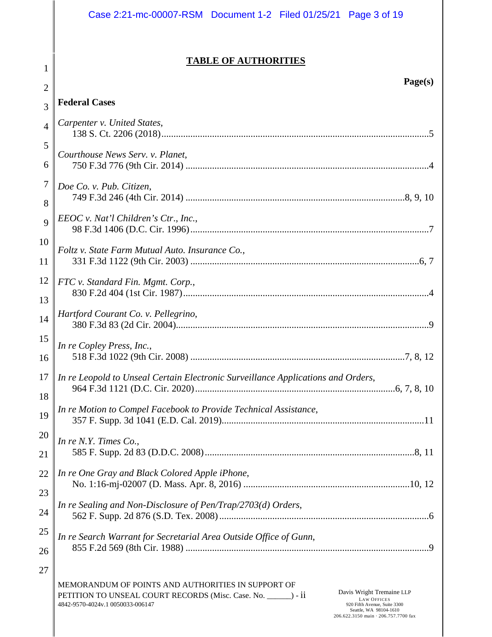|                | Case 2:21-mc-00007-RSM  Document 1-2  Filed 01/25/21  Page 3 of 19                                                                                                                                                                                                                                            |
|----------------|---------------------------------------------------------------------------------------------------------------------------------------------------------------------------------------------------------------------------------------------------------------------------------------------------------------|
| 1              | <b>TABLE OF AUTHORITIES</b>                                                                                                                                                                                                                                                                                   |
| $\overline{2}$ | Page(s)                                                                                                                                                                                                                                                                                                       |
| 3              | <b>Federal Cases</b>                                                                                                                                                                                                                                                                                          |
| $\overline{4}$ | Carpenter v. United States,                                                                                                                                                                                                                                                                                   |
| 5<br>6         | Courthouse News Serv. v. Planet,                                                                                                                                                                                                                                                                              |
| $\tau$<br>8    | Doe Co. v. Pub. Citizen,                                                                                                                                                                                                                                                                                      |
| 9              | EEOC v. Nat'l Children's Ctr., Inc.,                                                                                                                                                                                                                                                                          |
| 10<br>11       | Foltz v. State Farm Mutual Auto. Insurance Co.,                                                                                                                                                                                                                                                               |
| 12<br>13       | FTC v. Standard Fin. Mgmt. Corp.,                                                                                                                                                                                                                                                                             |
| 14             | Hartford Courant Co. v. Pellegrino,                                                                                                                                                                                                                                                                           |
| 15<br>16       | In re Copley Press, Inc.,                                                                                                                                                                                                                                                                                     |
| 17<br>18       | In re Leopold to Unseal Certain Electronic Surveillance Applications and Orders,                                                                                                                                                                                                                              |
| 19             | In re Motion to Compel Facebook to Provide Technical Assistance,                                                                                                                                                                                                                                              |
| 20<br>21       | In re N.Y. Times Co.,                                                                                                                                                                                                                                                                                         |
| 22<br>23       | In re One Gray and Black Colored Apple iPhone,                                                                                                                                                                                                                                                                |
| 24             | In re Sealing and Non-Disclosure of Pen/Trap/2703(d) Orders,                                                                                                                                                                                                                                                  |
| 25<br>26       | In re Search Warrant for Secretarial Area Outside Office of Gunn,                                                                                                                                                                                                                                             |
| 27             | MEMORANDUM OF POINTS AND AUTHORITIES IN SUPPORT OF<br>Davis Wright Tremaine LLP<br>PETITION TO UNSEAL COURT RECORDS (Misc. Case. No. ______) - ii<br><b>LAW OFFICES</b><br>4842-9570-4024v.1 0050033-006147<br>920 Fifth Avenue, Suite 3300<br>Seattle, WA 98104-1610<br>206.622.3150 main · 206.757.7700 fax |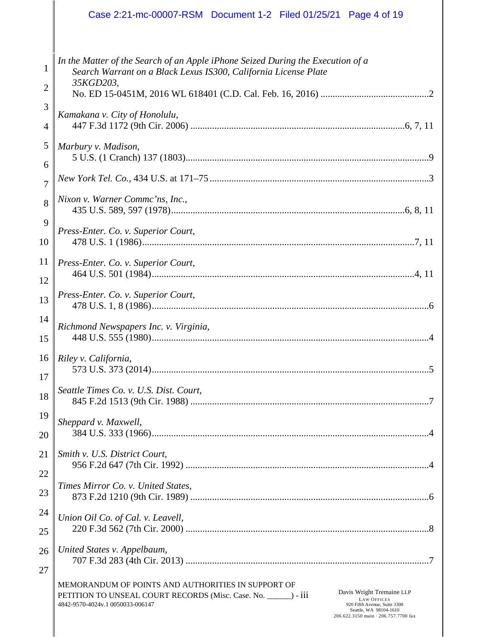|                                     | Case 2:21-mc-00007-RSM  Document 1-2  Filed 01/25/21  Page 4 of 19                                                                                                                                                                                                                                             |
|-------------------------------------|----------------------------------------------------------------------------------------------------------------------------------------------------------------------------------------------------------------------------------------------------------------------------------------------------------------|
| $\mathbf{1}$<br>$\overline{2}$<br>3 | In the Matter of the Search of an Apple iPhone Seized During the Execution of a<br>Search Warrant on a Black Lexus IS300, California License Plate<br>35KGD203,                                                                                                                                                |
| 4                                   | Kamakana v. City of Honolulu,                                                                                                                                                                                                                                                                                  |
| 5                                   | Marbury v. Madison,                                                                                                                                                                                                                                                                                            |
| 6                                   |                                                                                                                                                                                                                                                                                                                |
| $\overline{7}$                      |                                                                                                                                                                                                                                                                                                                |
| 8                                   | Nixon v. Warner Commc'ns, Inc.,                                                                                                                                                                                                                                                                                |
| 9                                   | Press-Enter. Co. v. Superior Court,                                                                                                                                                                                                                                                                            |
| 10                                  |                                                                                                                                                                                                                                                                                                                |
| 11                                  | Press-Enter. Co. v. Superior Court,                                                                                                                                                                                                                                                                            |
| 12                                  |                                                                                                                                                                                                                                                                                                                |
| 13                                  | Press-Enter. Co. v. Superior Court,                                                                                                                                                                                                                                                                            |
| 14                                  | Richmond Newspapers Inc. v. Virginia,                                                                                                                                                                                                                                                                          |
| 15                                  |                                                                                                                                                                                                                                                                                                                |
| $16 \parallel$                      | Riley v. California,                                                                                                                                                                                                                                                                                           |
| 17                                  |                                                                                                                                                                                                                                                                                                                |
| 18                                  | Seattle Times Co. v. U.S. Dist. Court,                                                                                                                                                                                                                                                                         |
| 19                                  | Sheppard v. Maxwell,                                                                                                                                                                                                                                                                                           |
| 20                                  |                                                                                                                                                                                                                                                                                                                |
| 21                                  | Smith v. U.S. District Court,                                                                                                                                                                                                                                                                                  |
| 22                                  |                                                                                                                                                                                                                                                                                                                |
| 23                                  | Times Mirror Co. v. United States,                                                                                                                                                                                                                                                                             |
| 24                                  | Union Oil Co. of Cal. v. Leavell,                                                                                                                                                                                                                                                                              |
| 25                                  |                                                                                                                                                                                                                                                                                                                |
| 26                                  | United States v. Appelbaum,                                                                                                                                                                                                                                                                                    |
| 27                                  |                                                                                                                                                                                                                                                                                                                |
|                                     | MEMORANDUM OF POINTS AND AUTHORITIES IN SUPPORT OF<br>Davis Wright Tremaine LLP<br>PETITION TO UNSEAL COURT RECORDS (Misc. Case. No. ______) - iii<br><b>LAW OFFICES</b><br>4842-9570-4024v.1 0050033-006147<br>920 Fifth Avenue, Suite 3300<br>Seattle, WA 98104-1610<br>206.622.3150 main · 206.757.7700 fax |

∥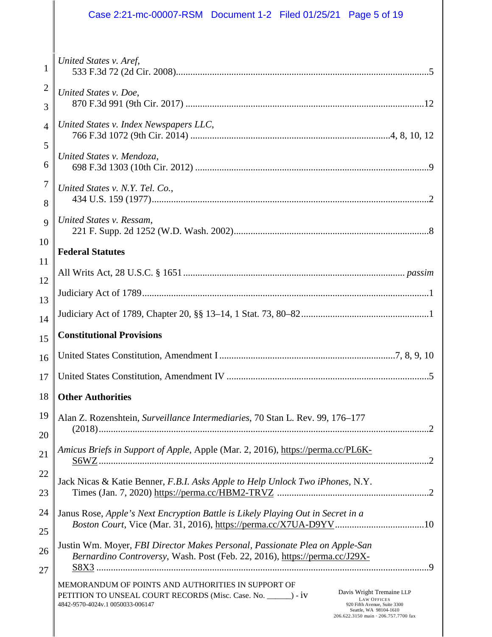|                | Case 2:21-mc-00007-RSM   Document 1-2   Filed 01/25/21   Page 5 of 19                                                                                                                                                                                                                                         |
|----------------|---------------------------------------------------------------------------------------------------------------------------------------------------------------------------------------------------------------------------------------------------------------------------------------------------------------|
|                |                                                                                                                                                                                                                                                                                                               |
| 1              | United States v. Aref,                                                                                                                                                                                                                                                                                        |
| 2              | United States v. Doe,                                                                                                                                                                                                                                                                                         |
| 3              |                                                                                                                                                                                                                                                                                                               |
| 4              | United States v. Index Newspapers LLC,                                                                                                                                                                                                                                                                        |
| 5              | United States v. Mendoza,                                                                                                                                                                                                                                                                                     |
| 6              |                                                                                                                                                                                                                                                                                                               |
| 7              | United States v. N.Y. Tel. Co.,                                                                                                                                                                                                                                                                               |
| 8              |                                                                                                                                                                                                                                                                                                               |
| $\overline{Q}$ | United States v. Ressam,                                                                                                                                                                                                                                                                                      |
| 10             | <b>Federal Statutes</b>                                                                                                                                                                                                                                                                                       |
| 11             |                                                                                                                                                                                                                                                                                                               |
| 12             |                                                                                                                                                                                                                                                                                                               |
| 13             |                                                                                                                                                                                                                                                                                                               |
| 14             | <b>Constitutional Provisions</b>                                                                                                                                                                                                                                                                              |
| 15             |                                                                                                                                                                                                                                                                                                               |
| 16             |                                                                                                                                                                                                                                                                                                               |
| 17             |                                                                                                                                                                                                                                                                                                               |
| 18             | <b>Other Authorities</b>                                                                                                                                                                                                                                                                                      |
| 19             | Alan Z. Rozenshtein, Surveillance Intermediaries, 70 Stan L. Rev. 99, 176-177                                                                                                                                                                                                                                 |
| 20<br>21       | Amicus Briefs in Support of Apple, Apple (Mar. 2, 2016), https://perma.cc/PL6K-                                                                                                                                                                                                                               |
| 22             | Jack Nicas & Katie Benner, F.B.I. Asks Apple to Help Unlock Two iPhones, N.Y.                                                                                                                                                                                                                                 |
| 23             |                                                                                                                                                                                                                                                                                                               |
| 24             | Janus Rose, Apple's Next Encryption Battle is Likely Playing Out in Secret in a                                                                                                                                                                                                                               |
| 25             |                                                                                                                                                                                                                                                                                                               |
| 26<br>27       | Justin Wm. Moyer, FBI Director Makes Personal, Passionate Plea on Apple-San<br>Bernardino Controversy, Wash. Post (Feb. 22, 2016), https://perma.cc/J29X-                                                                                                                                                     |
|                | MEMORANDUM OF POINTS AND AUTHORITIES IN SUPPORT OF<br>Davis Wright Tremaine LLP<br>PETITION TO UNSEAL COURT RECORDS (Misc. Case. No. ______) - iv<br><b>LAW OFFICES</b><br>4842-9570-4024v.1 0050033-006147<br>920 Fifth Avenue, Suite 3300<br>Seattle, WA 98104-1610<br>206.622.3150 main · 206.757.7700 fax |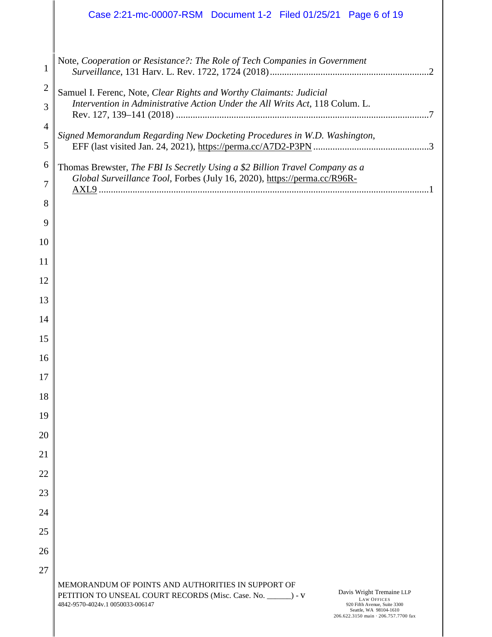|                     | Case 2:21-mc-00007-RSM  Document 1-2  Filed 01/25/21  Page 6 of 19                                                                                                                                                                                      |
|---------------------|---------------------------------------------------------------------------------------------------------------------------------------------------------------------------------------------------------------------------------------------------------|
|                     |                                                                                                                                                                                                                                                         |
| 1                   | Note, Cooperation or Resistance?: The Role of Tech Companies in Government                                                                                                                                                                              |
| $\overline{2}$<br>3 | Samuel I. Ferenc, Note, Clear Rights and Worthy Claimants: Judicial<br>Intervention in Administrative Action Under the All Writs Act, 118 Colum. L.                                                                                                     |
| 4                   |                                                                                                                                                                                                                                                         |
| 5                   | Signed Memorandum Regarding New Docketing Procedures in W.D. Washington,                                                                                                                                                                                |
| 6                   | Thomas Brewster, The FBI Is Secretly Using a \$2 Billion Travel Company as a                                                                                                                                                                            |
| 7                   | Global Surveillance Tool, Forbes (July 16, 2020), https://perma.cc/R96R-                                                                                                                                                                                |
| 8                   |                                                                                                                                                                                                                                                         |
| 9                   |                                                                                                                                                                                                                                                         |
| 10                  |                                                                                                                                                                                                                                                         |
| 11                  |                                                                                                                                                                                                                                                         |
| 12                  |                                                                                                                                                                                                                                                         |
| 13                  |                                                                                                                                                                                                                                                         |
| 14                  |                                                                                                                                                                                                                                                         |
| 15                  |                                                                                                                                                                                                                                                         |
| 16                  |                                                                                                                                                                                                                                                         |
| 17                  |                                                                                                                                                                                                                                                         |
| 18<br>19            |                                                                                                                                                                                                                                                         |
| 20                  |                                                                                                                                                                                                                                                         |
| 21                  |                                                                                                                                                                                                                                                         |
| 22                  |                                                                                                                                                                                                                                                         |
| 23                  |                                                                                                                                                                                                                                                         |
| 24                  |                                                                                                                                                                                                                                                         |
| 25                  |                                                                                                                                                                                                                                                         |
| 26                  |                                                                                                                                                                                                                                                         |
| 27                  |                                                                                                                                                                                                                                                         |
|                     | MEMORANDUM OF POINTS AND AUTHORITIES IN SUPPORT OF                                                                                                                                                                                                      |
|                     | Davis Wright Tremaine LLP<br>PETITION TO UNSEAL COURT RECORDS (Misc. Case. No. _______) - V<br><b>LAW OFFICES</b><br>4842-9570-4024v.1 0050033-006147<br>920 Fifth Avenue, Suite 3300<br>Seattle, WA 98104-1610<br>206.622.3150 main · 206.757.7700 fax |

∥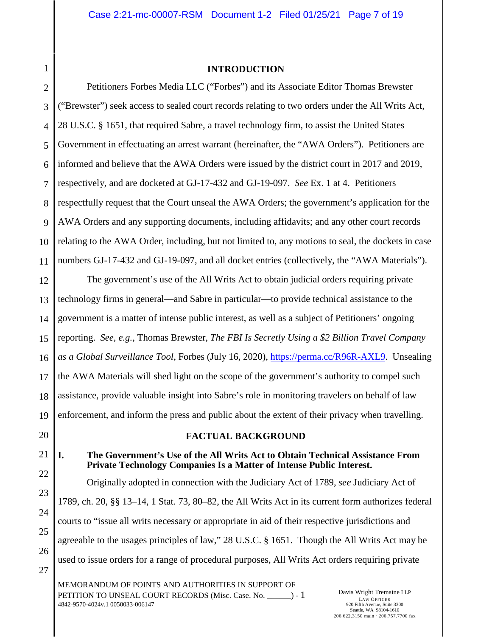# <span id="page-6-0"></span>1 2 4

### <span id="page-6-3"></span>**INTRODUCTION**

3 5 6 7 8 9 10 11 Petitioners Forbes Media LLC ("Forbes") and its Associate Editor Thomas Brewster ("Brewster") seek access to sealed court records relating to two orders under the All Writs Act, 28 U.S.C. § 1651, that required Sabre, a travel technology firm, to assist the United States Government in effectuating an arrest warrant (hereinafter, the "AWA Orders"). Petitioners are informed and believe that the AWA Orders were issued by the district court in 2017 and 2019, respectively, and are docketed at GJ-17-432 and GJ-19-097. *See* Ex. 1 at 4. Petitioners respectfully request that the Court unseal the AWA Orders; the government's application for the AWA Orders and any supporting documents, including affidavits; and any other court records relating to the AWA Order, including, but not limited to, any motions to seal, the dockets in case numbers GJ-17-432 and GJ-19-097, and all docket entries (collectively, the "AWA Materials").

<span id="page-6-6"></span>12 13 14 15 16 17 18 19 The government's use of the All Writs Act to obtain judicial orders requiring private technology firms in general––and Sabre in particular––to provide technical assistance to the government is a matter of intense public interest, as well as a subject of Petitioners' ongoing reporting. *See, e.g.*, Thomas Brewster, *The FBI Is Secretly Using a \$2 Billion Travel Company as a Global Surveillance Tool*, Forbes (July 16, 2020), [https://perma.cc/R96R-AXL9.](https://perma.cc/R96R-AXL9) Unsealing the AWA Materials will shed light on the scope of the government's authority to compel such assistance, provide valuable insight into Sabre's role in monitoring travelers on behalf of law enforcement, and inform the press and public about the extent of their privacy when travelling.

<span id="page-6-1"></span>20 21

22

23

24

25

26

27

### <span id="page-6-5"></span><span id="page-6-4"></span>**FACTUAL BACKGROUND**

### <span id="page-6-2"></span>**I. The Government's Use of the All Writs Act to Obtain Technical Assistance From Private Technology Companies Is a Matter of Intense Public Interest.**

Originally adopted in connection with the Judiciary Act of 1789, *see* Judiciary Act of 1789, ch. 20, §§ 13–14, 1 Stat. 73, 80–82, the All Writs Act in its current form authorizes federal courts to "issue all writs necessary or appropriate in aid of their respective jurisdictions and agreeable to the usages principles of law," 28 U.S.C. § 1651. Though the All Writs Act may be used to issue orders for a range of procedural purposes, All Writs Act orders requiring private

MEMORANDUM OF POINTS AND AUTHORITIES IN SUPPORT OF PETITION TO UNSEAL COURT RECORDS (Misc. Case. No.  $\qquad$ ) - 1 4842-9570-4024v.1 0050033-006147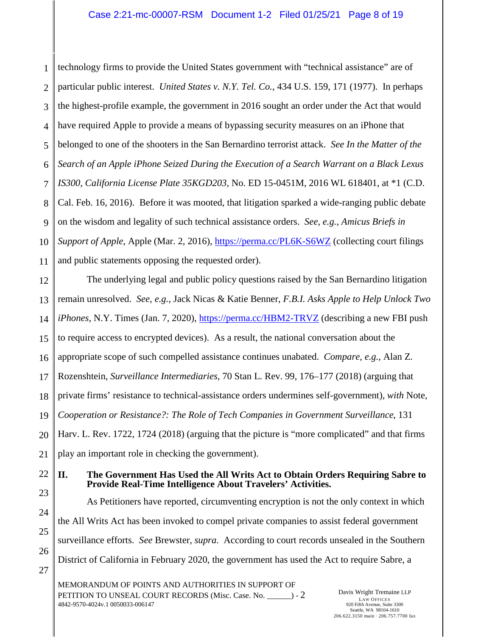<span id="page-7-2"></span><span id="page-7-1"></span>1 2 3 4 5 6 7 8 9 10 11 technology firms to provide the United States government with "technical assistance" are of particular public interest. *United States v. N.Y. Tel. Co.*, 434 U.S. 159, 171 (1977). In perhaps the highest-profile example, the government in 2016 sought an order under the Act that would have required Apple to provide a means of bypassing security measures on an iPhone that belonged to one of the shooters in the San Bernardino terrorist attack. *See In the Matter of the Search of an Apple iPhone Seized During the Execution of a Search Warrant on a Black Lexus IS300, California License Plate 35KGD203*, No. ED 15-0451M, 2016 WL 618401, at \*1 (C.D. Cal. Feb. 16, 2016). Before it was mooted, that litigation sparked a wide-ranging public debate on the wisdom and legality of such technical assistance orders. *See, e.g.*, *Amicus Briefs in Support of Apple*, Apple (Mar. 2, 2016),<https://perma.cc/PL6K-S6WZ>(collecting court filings and public statements opposing the requested order).

<span id="page-7-5"></span><span id="page-7-4"></span><span id="page-7-3"></span>12 13 14 15 16 17 18 19 20 21 The underlying legal and public policy questions raised by the San Bernardino litigation remain unresolved. *See, e.g.*, Jack Nicas & Katie Benner, *F.B.I. Asks Apple to Help Unlock Two iPhones*, N.Y. Times (Jan. 7, 2020),<https://perma.cc/HBM2-TRVZ>(describing a new FBI push to require access to encrypted devices). As a result, the national conversation about the appropriate scope of such compelled assistance continues unabated. *Compare, e.g.*, Alan Z. Rozenshtein, *Surveillance Intermediaries*, 70 Stan L. Rev. 99, 176–177 (2018) (arguing that private firms' resistance to technical-assistance orders undermines self-government), *with* Note, *Cooperation or Resistance?: The Role of Tech Companies in Government Surveillance*, 131 Harv. L. Rev. 1722, 1724 (2018) (arguing that the picture is "more complicated" and that firms play an important role in checking the government).

<span id="page-7-0"></span>22 23 **II. The Government Has Used the All Writs Act to Obtain Orders Requiring Sabre to Provide Real-Time Intelligence About Travelers' Activities.** 

<span id="page-7-6"></span>As Petitioners have reported, circumventing encryption is not the only context in which the All Writs Act has been invoked to compel private companies to assist federal government surveillance efforts. *See* Brewster, *supra*. According to court records unsealed in the Southern District of California in February 2020, the government has used the Act to require Sabre, a

MEMORANDUM OF POINTS AND AUTHORITIES IN SUPPORT OF PETITION TO UNSEAL COURT RECORDS (Misc. Case. No.  $\qquad$ ) - 2 4842-9570-4024v.1 0050033-006147

24

25

26

27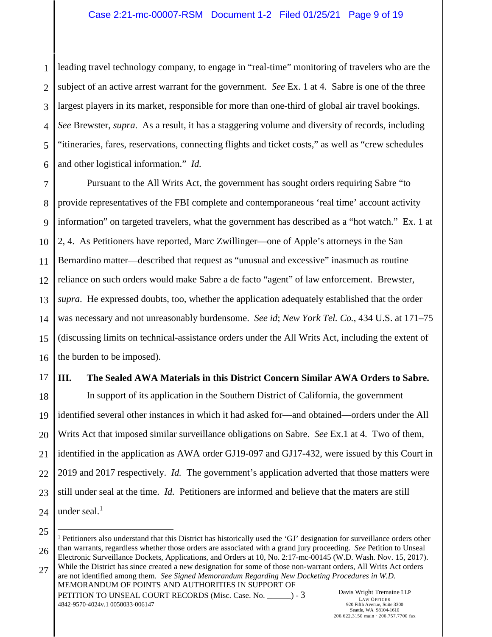1 2 3 4 5 6 leading travel technology company, to engage in "real-time" monitoring of travelers who are the subject of an active arrest warrant for the government. *See* Ex. 1 at 4. Sabre is one of the three largest players in its market, responsible for more than one-third of global air travel bookings. *See* Brewster, *supra*. As a result, it has a staggering volume and diversity of records, including "itineraries, fares, reservations, connecting flights and ticket costs," as well as "crew schedules and other logistical information." *Id.* 

7 8 9 10 11 12 13 14 15 16 Pursuant to the All Writs Act, the government has sought orders requiring Sabre "to provide representatives of the FBI complete and contemporaneous 'real time' account activity information" on targeted travelers, what the government has described as a "hot watch." Ex. 1 at 2, 4. As Petitioners have reported, Marc Zwillinger––one of Apple's attorneys in the San Bernardino matter—described that request as "unusual and excessive" inasmuch as routine reliance on such orders would make Sabre a de facto "agent" of law enforcement. Brewster, *supra*. He expressed doubts, too, whether the application adequately established that the order was necessary and not unreasonably burdensome. *See id*; *New York Tel. Co.*, 434 U.S. at 171–75 (discussing limits on technical-assistance orders under the All Writs Act, including the extent of the burden to be imposed).

### <span id="page-8-1"></span><span id="page-8-0"></span>**III. The Sealed AWA Materials in this District Concern Similar AWA Orders to Sabre.**

18 19 20 21 22 23 24 In support of its application in the Southern District of California, the government identified several other instances in which it had asked for––and obtained––orders under the All Writs Act that imposed similar surveillance obligations on Sabre. *See* Ex.1 at 4. Two of them, identified in the application as AWA order GJ19-097 and GJ17-432, were issued by this Court in 2019 and 2017 respectively. *Id.* The government's application adverted that those matters were still under seal at the time. *Id.* Petitioners are informed and believe that the maters are still under seal. $<sup>1</sup>$ </sup>

 $\overline{a}$ 

17

<span id="page-8-2"></span>PETITION TO UNSEAL COURT RECORDS (Misc. Case. No.  $\qquad \qquad$ ) - 3 4842-9570-4024v.1 0050033-006147

<sup>25</sup>

<sup>26</sup> 27 MEMORANDUM OF POINTS AND AUTHORITIES IN SUPPORT OF <sup>1</sup> Petitioners also understand that this District has historically used the 'GJ' designation for surveillance orders other than warrants, regardless whether those orders are associated with a grand jury proceeding. *See* Petition to Unseal Electronic Surveillance Dockets, Applications, and Orders at 10, No. 2:17-mc-00145 (W.D. Wash. Nov. 15, 2017). While the District has since created a new designation for some of those non-warrant orders, All Writs Act orders are not identified among them. *See Signed Memorandum Regarding New Docketing Procedures in W.D.*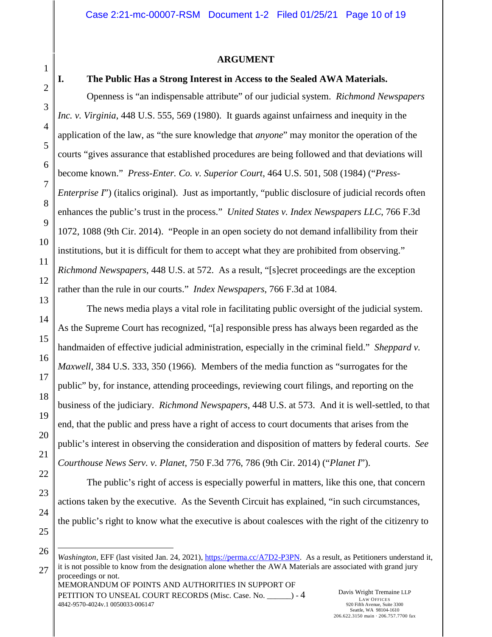### <span id="page-9-6"></span><span id="page-9-4"></span>**ARGUMENT**

## <span id="page-9-0"></span>1

2

3

<span id="page-9-3"></span>4

#### <span id="page-9-1"></span>**I. The Public Has a Strong Interest in Access to the Sealed AWA Materials.**

Openness is "an indispensable attribute" of our judicial system. *Richmond Newspapers Inc. v. Virginia*, 448 U.S. 555, 569 (1980). It guards against unfairness and inequity in the application of the law, as "the sure knowledge that *anyone*" may monitor the operation of the courts "gives assurance that established procedures are being followed and that deviations will become known." *Press-Enter. Co. v. Superior Court*, 464 U.S. 501, 508 (1984) ("*Press-Enterprise I*") (italics original). Just as importantly, "public disclosure of judicial records often enhances the public's trust in the process." *United States v. Index Newspapers LLC*, 766 F.3d 1072, 1088 (9th Cir. 2014). "People in an open society do not demand infallibility from their institutions, but it is difficult for them to accept what they are prohibited from observing." *Richmond Newspapers*, 448 U.S. at 572. As a result, "[s]ecret proceedings are the exception rather than the rule in our courts." *Index Newspapers*, 766 F.3d at 1084.

The news media plays a vital role in facilitating public oversight of the judicial system. As the Supreme Court has recognized, "[a] responsible press has always been regarded as the handmaiden of effective judicial administration, especially in the criminal field." *Sheppard v. Maxwell*, 384 U.S. 333, 350 (1966). Members of the media function as "surrogates for the public" by, for instance, attending proceedings, reviewing court filings, and reporting on the business of the judiciary. *Richmond Newspapers*, 448 U.S. at 573. And it is well-settled, to that end, that the public and press have a right of access to court documents that arises from the public's interest in observing the consideration and disposition of matters by federal courts. *See Courthouse News Serv. v. Planet*, 750 F.3d 776, 786 (9th Cir. 2014) ("*Planet I*").

<span id="page-9-2"></span>The public's right of access is especially powerful in matters, like this one, that concern actions taken by the executive. As the Seventh Circuit has explained, "in such circumstances, the public's right to know what the executive is about coalesces with the right of the citizenry to

 $\overline{a}$ 

MEMORANDUM OF POINTS AND AUTHORITIES IN SUPPORT OF PETITION TO UNSEAL COURT RECORDS (Misc. Case. No.  $\qquad \qquad$ ) - 4 4842-9570-4024v.1 0050033-006147 Davis Wright Tremaine LLP LAW OFFICES *Washington*, EFF (last visited Jan. 24, 2021), [https://perma.cc/A7D2-P3PN.](https://perma.cc/A7D2-P3PN) As a result, as Petitioners understand it, it is not possible to know from the designation alone whether the AWA Materials are associated with grand jury proceedings or not.

<span id="page-9-5"></span>920 Fifth Avenue, Suite 3300 Seattle, WA 98104-1610 206.622.3150 main · 206.757.7700 fax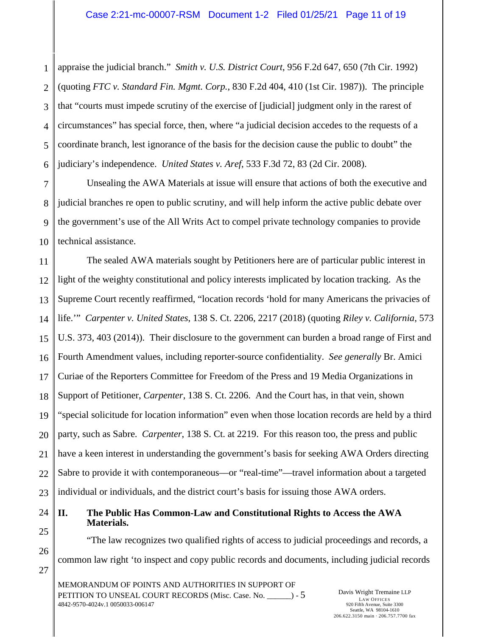<span id="page-10-4"></span><span id="page-10-2"></span>1 2 3 4 5 6 appraise the judicial branch." *Smith v. U.S. District Court*, 956 F.2d 647, 650 (7th Cir. 1992) (quoting *FTC v. Standard Fin. Mgmt. Corp.*, 830 F.2d 404, 410 (1st Cir. 1987)). The principle that "courts must impede scrutiny of the exercise of [judicial] judgment only in the rarest of circumstances" has special force, then, where "a judicial decision accedes to the requests of a coordinate branch, lest ignorance of the basis for the decision cause the public to doubt" the judiciary's independence. *United States v. Aref*, 533 F.3d 72, 83 (2d Cir. 2008).

<span id="page-10-5"></span>7 8 9 10 Unsealing the AWA Materials at issue will ensure that actions of both the executive and judicial branches re open to public scrutiny, and will help inform the active public debate over the government's use of the All Writs Act to compel private technology companies to provide technical assistance.

<span id="page-10-6"></span><span id="page-10-3"></span><span id="page-10-1"></span>11 12 13 14 15 16 17 18 19 20 21 22 23 The sealed AWA materials sought by Petitioners here are of particular public interest in light of the weighty constitutional and policy interests implicated by location tracking. As the Supreme Court recently reaffirmed, "location records 'hold for many Americans the privacies of life.'" *Carpenter v. United States*, 138 S. Ct. 2206, 2217 (2018) (quoting *Riley v. California*, 573 U.S. 373, 403 (2014)). Their disclosure to the government can burden a broad range of First and Fourth Amendment values, including reporter-source confidentiality. *See generally* Br. Amici Curiae of the Reporters Committee for Freedom of the Press and 19 Media Organizations in Support of Petitioner, *Carpenter*, 138 S. Ct. 2206. And the Court has, in that vein, shown "special solicitude for location information" even when those location records are held by a third party, such as Sabre. *Carpenter*, 138 S. Ct. at 2219. For this reason too, the press and public have a keen interest in understanding the government's basis for seeking AWA Orders directing Sabre to provide it with contemporaneous—or "real-time"—travel information about a targeted individual or individuals, and the district court's basis for issuing those AWA orders.

<span id="page-10-0"></span>24 25 **II. The Public Has Common-Law and Constitutional Rights to Access the AWA Materials.** 

"The law recognizes two qualified rights of access to judicial proceedings and records, a common law right 'to inspect and copy public records and documents, including judicial records

MEMORANDUM OF POINTS AND AUTHORITIES IN SUPPORT OF PETITION TO UNSEAL COURT RECORDS (Misc. Case. No. \_\_\_\_\_\_) - 5 4842-9570-4024v.1 0050033-006147

26

27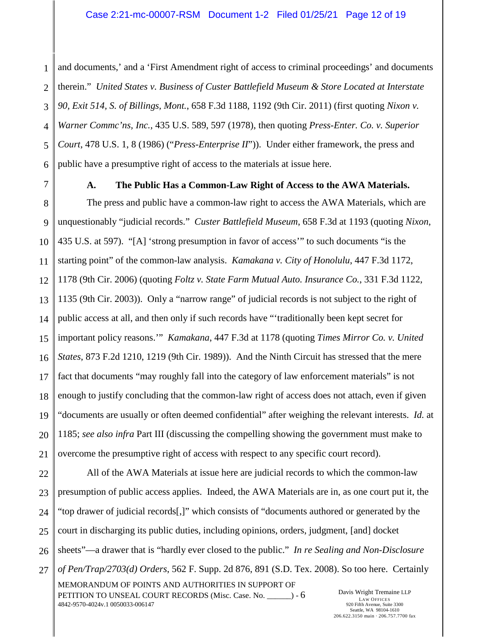1 2 3 4 5 6 and documents,' and a 'First Amendment right of access to criminal proceedings' and documents therein." *United States v. Business of Custer Battlefield Museum & Store Located at Interstate 90, Exit 514, S. of Billings, Mont.*, 658 F.3d 1188, 1192 (9th Cir. 2011) (first quoting *Nixon v. Warner Commc'ns, Inc.*, 435 U.S. 589, 597 (1978), then quoting *Press-Enter. Co. v. Superior Court*, 478 U.S. 1, 8 (1986) ("*Press-Enterprise II*")). Under either framework, the press and public have a presumptive right of access to the materials at issue here.

### <span id="page-11-6"></span><span id="page-11-5"></span><span id="page-11-4"></span><span id="page-11-3"></span><span id="page-11-1"></span><span id="page-11-0"></span>**A. The Public Has a Common-Law Right of Access to the AWA Materials.**

12 13 14 15 16 17 18 19 20 21 The press and public have a common-law right to access the AWA Materials, which are unquestionably "judicial records." *Custer Battlefield Museum*, 658 F.3d at 1193 (quoting *Nixon*, 435 U.S. at 597). "[A] 'strong presumption in favor of access'" to such documents "is the starting point" of the common-law analysis. *Kamakana v. City of Honolulu*, 447 F.3d 1172, 1178 (9th Cir. 2006) (quoting *Foltz v. State Farm Mutual Auto. Insurance Co.*, 331 F.3d 1122, 1135 (9th Cir. 2003)). Only a "narrow range" of judicial records is not subject to the right of public access at all, and then only if such records have "'traditionally been kept secret for important policy reasons.'" *Kamakana*, 447 F.3d at 1178 (quoting *Times Mirror Co. v. United States*, 873 F.2d 1210, 1219 (9th Cir. 1989)). And the Ninth Circuit has stressed that the mere fact that documents "may roughly fall into the category of law enforcement materials" is not enough to justify concluding that the common-law right of access does not attach, even if given "documents are usually or often deemed confidential" after weighing the relevant interests. *Id.* at 1185; *see also infra* Part III (discussing the compelling showing the government must make to overcome the presumptive right of access with respect to any specific court record).

22 23 24

25

26

27

MEMORANDUM OF POINTS AND AUTHORITIES IN SUPPORT OF PETITION TO UNSEAL COURT RECORDS (Misc. Case. No.  $\qquad \qquad$ ) - 6 4842-9570-4024v.1 0050033-006147 Davis Wright Tremaine LLP LAW OFFICES 920 Fifth Avenue, Suite 3300 Seattle, WA 98104-1610 All of the AWA Materials at issue here are judicial records to which the common-law presumption of public access applies. Indeed, the AWA Materials are in, as one court put it, the "top drawer of judicial records[,]" which consists of "documents authored or generated by the court in discharging its public duties, including opinions, orders, judgment, [and] docket sheets"—a drawer that is "hardly ever closed to the public." *In re Sealing and Non-Disclosure of Pen/Trap/2703(d) Orders*, 562 F. Supp. 2d 876, 891 (S.D. Tex. 2008). So too here. Certainly

<span id="page-11-2"></span>206.622.3150 main · 206.757.7700 fax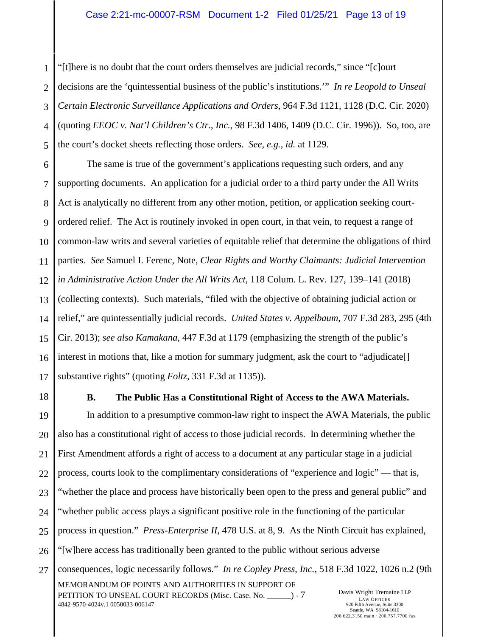<span id="page-12-4"></span><span id="page-12-1"></span>1 2 3 4 5 "[t]here is no doubt that the court orders themselves are judicial records," since "[c]ourt decisions are the 'quintessential business of the public's institutions.'" *In re Leopold to Unseal Certain Electronic Surveillance Applications and Orders*, 964 F.3d 1121, 1128 (D.C. Cir. 2020) (quoting *EEOC v. Nat'l Children's Ctr*., *Inc.*, 98 F.3d 1406, 1409 (D.C. Cir. 1996)). So, too, are the court's docket sheets reflecting those orders. *See, e.g.*, *id.* at 1129.

<span id="page-12-10"></span><span id="page-12-5"></span>6 7 8 9 10 11 12 13 14 15 16 17 The same is true of the government's applications requesting such orders, and any supporting documents. An application for a judicial order to a third party under the All Writs Act is analytically no different from any other motion, petition, or application seeking courtordered relief. The Act is routinely invoked in open court, in that vein, to request a range of common-law writs and several varieties of equitable relief that determine the obligations of third parties. *See* Samuel I. Ferenc, Note, *Clear Rights and Worthy Claimants: Judicial Intervention in Administrative Action Under the All Writs Act*, 118 Colum. L. Rev. 127, 139–141 (2018) (collecting contexts). Such materials, "filed with the objective of obtaining judicial action or relief," are quintessentially judicial records. *United States v. Appelbaum*, 707 F.3d 283, 295 (4th Cir. 2013); *see also Kamakana*, 447 F.3d at 1179 (emphasizing the strength of the public's interest in motions that, like a motion for summary judgment, ask the court to "adjudicate" substantive rights" (quoting *Foltz*, 331 F.3d at 1135)).

<span id="page-12-0"></span>18

### <span id="page-12-8"></span><span id="page-12-7"></span><span id="page-12-6"></span><span id="page-12-2"></span>**B. The Public Has a Constitutional Right of Access to the AWA Materials.**

<span id="page-12-9"></span>19 20 21 22 23 24 25 26 27 MEMORANDUM OF POINTS AND AUTHORITIES IN SUPPORT OF PETITION TO UNSEAL COURT RECORDS (Misc. Case. No.  $\qquad \qquad$ ) - 7 4842-9570-4024v.1 0050033-006147 Davis Wright Tremaine LLP LAW OFFICES 920 Fifth Avenue, Suite 3300 Seattle, WA 98104-1610 In addition to a presumptive common-law right to inspect the AWA Materials, the public also has a constitutional right of access to those judicial records. In determining whether the First Amendment affords a right of access to a document at any particular stage in a judicial process, courts look to the complimentary considerations of "experience and logic" –– that is, "whether the place and process have historically been open to the press and general public" and "whether public access plays a significant positive role in the functioning of the particular process in question." *Press-Enterprise II*, 478 U.S. at 8, 9. As the Ninth Circuit has explained, "[w]here access has traditionally been granted to the public without serious adverse consequences, logic necessarily follows." *In re Copley Press*, *Inc.*, 518 F.3d 1022, 1026 n.2 (9th

<span id="page-12-3"></span>206.622.3150 main · 206.757.7700 fax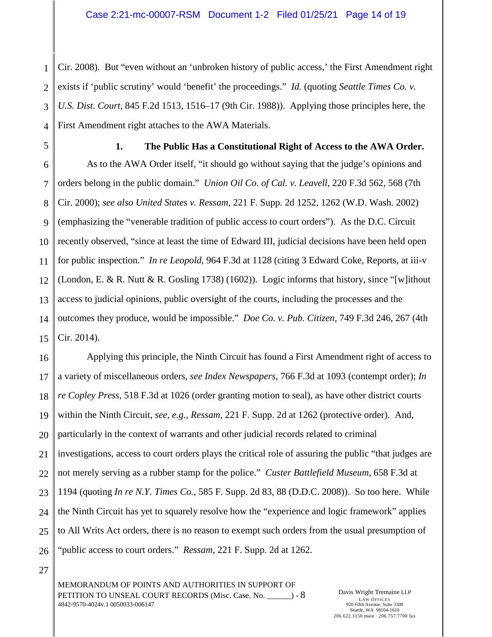1 2 3 4 Cir. 2008). But "even without an 'unbroken history of public access,' the First Amendment right exists if 'public scrutiny' would 'benefit' the proceedings." *Id.* (quoting *Seattle Times Co. v. U.S. Dist. Court*, 845 F.2d 1513, 1516–17 (9th Cir. 1988)). Applying those principles here, the First Amendment right attaches to the AWA Materials.

<span id="page-13-9"></span><span id="page-13-7"></span><span id="page-13-6"></span><span id="page-13-3"></span><span id="page-13-2"></span>**1. The Public Has a Constitutional Right of Access to the AWA Order.** 

<span id="page-13-10"></span><span id="page-13-0"></span>9 10 11 12 13 14 15 As to the AWA Order itself, "it should go without saying that the judge's opinions and orders belong in the public domain." *Union Oil Co. of Cal. v. Leavell*, 220 F.3d 562, 568 (7th Cir. 2000); *see also United States v. Ressam*, 221 F. Supp. 2d 1252, 1262 (W.D. Wash. 2002) (emphasizing the "venerable tradition of public access to court orders"). As the D.C. Circuit recently observed, "since at least the time of Edward III, judicial decisions have been held open for public inspection." *In re Leopold*, 964 F.3d at 1128 (citing 3 Edward Coke, Reports, at iii-v (London, E. & R. Nutt & R. Gosling 1738) (1602)). Logic informs that history, since "[w]ithout access to judicial opinions, public oversight of the courts, including the processes and the outcomes they produce, would be impossible." *Doe Co. v. Pub. Citizen*, 749 F.3d 246, 267 (4th Cir. 2014).

<span id="page-13-8"></span><span id="page-13-1"></span>16 17 18 19 20 21 22 23 24 25 26 Applying this principle, the Ninth Circuit has found a First Amendment right of access to a variety of miscellaneous orders, *see Index Newspapers*, 766 F.3d at 1093 (contempt order); *In re Copley Press*, 518 F.3d at 1026 (order granting motion to seal), as have other district courts within the Ninth Circuit, *see, e.g.*, *Ressam*, 221 F. Supp. 2d at 1262 (protective order). And, particularly in the context of warrants and other judicial records related to criminal investigations, access to court orders plays the critical role of assuring the public "that judges are not merely serving as a rubber stamp for the police." *Custer Battlefield Museum*, 658 F.3d at 1194 (quoting *In re N.Y. Times Co.*, 585 F. Supp. 2d 83, 88 (D.D.C. 2008)). So too here. While the Ninth Circuit has yet to squarely resolve how the "experience and logic framework" applies to All Writs Act orders, there is no reason to exempt such orders from the usual presumption of "public access to court orders." *Ressam*, 221 F. Supp. 2d at 1262.

<span id="page-13-4"></span>27

<span id="page-13-5"></span>MEMORANDUM OF POINTS AND AUTHORITIES IN SUPPORT OF PETITION TO UNSEAL COURT RECORDS (Misc. Case. No.  $\qquad \qquad$ ) - 8 4842-9570-4024v.1 0050033-006147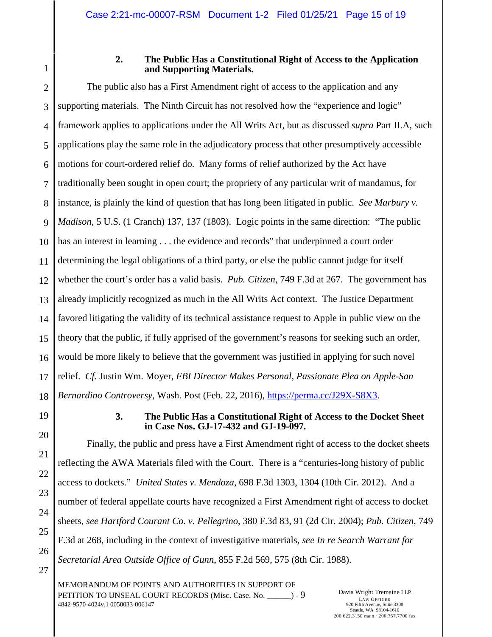<span id="page-14-0"></span>1

### <span id="page-14-7"></span><span id="page-14-5"></span>**2. The Public Has a Constitutional Right of Access to the Application and Supporting Materials.**

2 3 4 5 6 7 8 9 10 11 12 13 14 15 16 17 18 The public also has a First Amendment right of access to the application and any supporting materials. The Ninth Circuit has not resolved how the "experience and logic" framework applies to applications under the All Writs Act, but as discussed *supra* Part II.A, such applications play the same role in the adjudicatory process that other presumptively accessible motions for court-ordered relief do. Many forms of relief authorized by the Act have traditionally been sought in open court; the propriety of any particular writ of mandamus, for instance, is plainly the kind of question that has long been litigated in public. *See Marbury v. Madison*, 5 U.S. (1 Cranch) 137, 137 (1803). Logic points in the same direction: "The public has an interest in learning . . . the evidence and records" that underpinned a court order determining the legal obligations of a third party, or else the public cannot judge for itself whether the court's order has a valid basis. *Pub. Citizen*, 749 F.3d at 267. The government has already implicitly recognized as much in the All Writs Act context. The Justice Department favored litigating the validity of its technical assistance request to Apple in public view on the theory that the public, if fully apprised of the government's reasons for seeking such an order, would be more likely to believe that the government was justified in applying for such novel relief. *Cf.* Justin Wm. Moyer, *FBI Director Makes Personal, Passionate Plea on Apple-San Bernardino Controversy*, Wash. Post (Feb. 22, 2016), [https://perma.cc/J29X-S8X3.](https://perma.cc/J29X-S8X3)

<span id="page-14-1"></span>

19

20

21

22

23

<span id="page-14-3"></span>24

25

26

27

### <span id="page-14-8"></span><span id="page-14-6"></span><span id="page-14-4"></span><span id="page-14-2"></span>**3. The Public Has a Constitutional Right of Access to the Docket Sheet in Case Nos. GJ-17-432 and GJ-19-097.**

Finally, the public and press have a First Amendment right of access to the docket sheets reflecting the AWA Materials filed with the Court. There is a "centuries-long history of public access to dockets." *United States v. Mendoza*, 698 F.3d 1303, 1304 (10th Cir. 2012). And a number of federal appellate courts have recognized a First Amendment right of access to docket sheets, *see Hartford Courant Co. v. Pellegrino*, 380 F.3d 83, 91 (2d Cir. 2004); *Pub. Citizen*, 749 F.3d at 268, including in the context of investigative materials, *see In re Search Warrant for Secretarial Area Outside Office of Gunn*, 855 F.2d 569, 575 (8th Cir. 1988).

MEMORANDUM OF POINTS AND AUTHORITIES IN SUPPORT OF PETITION TO UNSEAL COURT RECORDS (Misc. Case. No.  $\qquad$ ) - 9 4842-9570-4024v.1 0050033-006147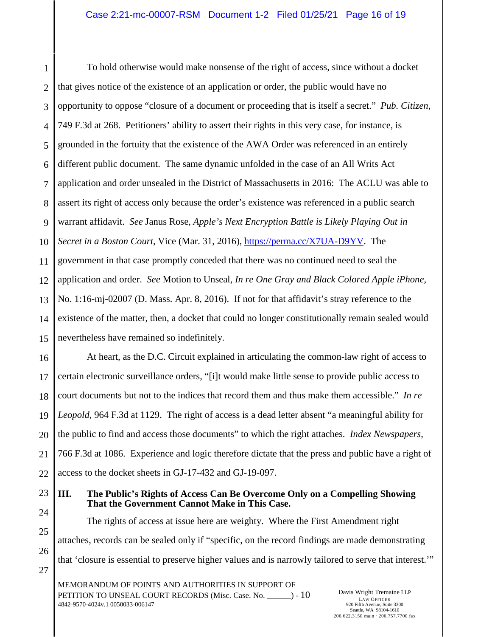<span id="page-15-1"></span>1 2 3 4 5 6 7 8 9 10 To hold otherwise would make nonsense of the right of access, since without a docket that gives notice of the existence of an application or order, the public would have no opportunity to oppose "closure of a document or proceeding that is itself a secret." *Pub. Citizen*, 749 F.3d at 268. Petitioners' ability to assert their rights in this very case, for instance, is grounded in the fortuity that the existence of the AWA Order was referenced in an entirely different public document. The same dynamic unfolded in the case of an All Writs Act application and order unsealed in the District of Massachusetts in 2016: The ACLU was able to assert its right of access only because the order's existence was referenced in a public search warrant affidavit. *See* Janus Rose, *Apple's Next Encryption Battle is Likely Playing Out in Secret in a Boston Court*, Vice (Mar. 31, 2016), [https://perma.cc/X7UA-D9YV.](https://perma.cc/X7UA-D9YV) The government in that case promptly conceded that there was no continued need to seal the application and order. *See* Motion to Unseal, *In re One Gray and Black Colored Apple iPhone*, No. 1:16-mj-02007 (D. Mass. Apr. 8, 2016). If not for that affidavit's stray reference to the existence of the matter, then, a docket that could no longer constitutionally remain sealed would nevertheless have remained so indefinitely.

<span id="page-15-6"></span><span id="page-15-3"></span><span id="page-15-2"></span>At heart, as the D.C. Circuit explained in articulating the common-law right of access to certain electronic surveillance orders, "[i]t would make little sense to provide public access to court documents but not to the indices that record them and thus make them accessible." *In re Leopold*, 964 F.3d at 1129. The right of access is a dead letter absent "a meaningful ability for the public to find and access those documents" to which the right attaches. *Index Newspapers*, 766 F.3d at 1086. Experience and logic therefore dictate that the press and public have a right of access to the docket sheets in GJ-17-432 and GJ-19-097.

<span id="page-15-4"></span><span id="page-15-0"></span>**III. The Public's Rights of Access Can Be Overcome Only on a Compelling Showing That the Government Cannot Make in This Case.** 

<span id="page-15-5"></span>The rights of access at issue here are weighty. Where the First Amendment right attaches, records can be sealed only if "specific, on the record findings are made demonstrating that 'closure is essential to preserve higher values and is narrowly tailored to serve that interest.'"

MEMORANDUM OF POINTS AND AUTHORITIES IN SUPPORT OF PETITION TO UNSEAL COURT RECORDS (Misc. Case. No. \_\_\_\_\_\_) - 10 4842-9570-4024v.1 0050033-006147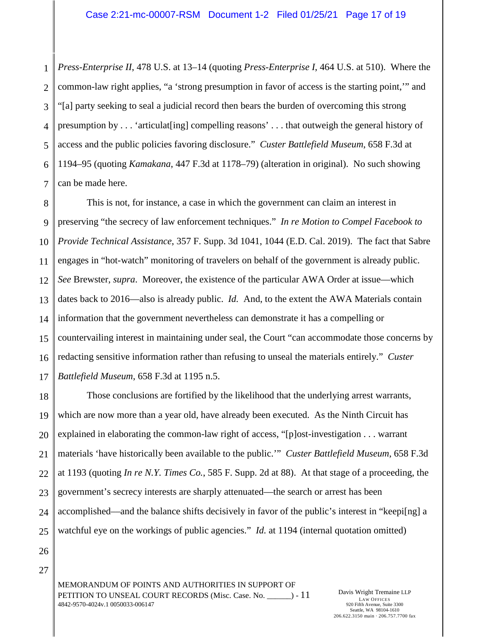<span id="page-16-5"></span><span id="page-16-4"></span><span id="page-16-3"></span>1 2 3 4 5 6 7 *Press-Enterprise II*, 478 U.S. at 13–14 (quoting *Press-Enterprise I*, 464 U.S. at 510). Where the common-law right applies, "a 'strong presumption in favor of access is the starting point,'" and "[a] party seeking to seal a judicial record then bears the burden of overcoming this strong presumption by . . . 'articulat[ing] compelling reasons' . . . that outweigh the general history of access and the public policies favoring disclosure." *Custer Battlefield Museum*, 658 F.3d at 1194–95 (quoting *Kamakana*, 447 F.3d at 1178–79) (alteration in original). No such showing can be made here.

<span id="page-16-2"></span><span id="page-16-0"></span>8 9 10 11 12 13 14 15 16 17 This is not, for instance, a case in which the government can claim an interest in preserving "the secrecy of law enforcement techniques." *In re Motion to Compel Facebook to Provide Technical Assistance*, 357 F. Supp. 3d 1041, 1044 (E.D. Cal. 2019). The fact that Sabre engages in "hot-watch" monitoring of travelers on behalf of the government is already public. *See* Brewster, *supra*. Moreover, the existence of the particular AWA Order at issue—which dates back to 2016—also is already public. *Id.* And, to the extent the AWA Materials contain information that the government nevertheless can demonstrate it has a compelling or countervailing interest in maintaining under seal, the Court "can accommodate those concerns by redacting sensitive information rather than refusing to unseal the materials entirely." *Custer Battlefield Museum*, 658 F.3d at 1195 n.5.

<span id="page-16-1"></span>18 19 20 21 22 23 24 25 Those conclusions are fortified by the likelihood that the underlying arrest warrants, which are now more than a year old, have already been executed. As the Ninth Circuit has explained in elaborating the common-law right of access, "[p]ost-investigation . . . warrant materials 'have historically been available to the public.'" *Custer Battlefield Museum*, 658 F.3d at 1193 (quoting *In re N.Y. Times Co.*, 585 F. Supp. 2d at 88). At that stage of a proceeding, the government's secrecy interests are sharply attenuated––the search or arrest has been accomplished––and the balance shifts decisively in favor of the public's interest in "keepi[ng] a watchful eye on the workings of public agencies." *Id.* at 1194 (internal quotation omitted)

26 27

> MEMORANDUM OF POINTS AND AUTHORITIES IN SUPPORT OF PETITION TO UNSEAL COURT RECORDS (Misc. Case. No.  $\qquad$ ) - 11 4842-9570-4024v.1 0050033-006147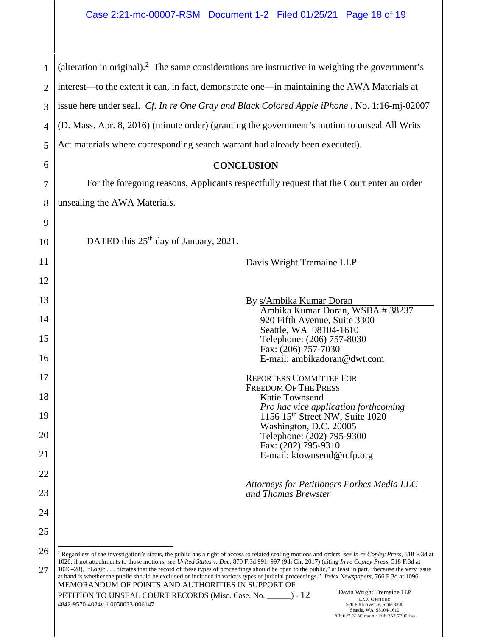<span id="page-17-2"></span><span id="page-17-0"></span>

| $\mathbf{1}$   | (alteration in original). $^2$ The same considerations are instructive in weighing the government's                                                                                                                                                                                                                                                    |
|----------------|--------------------------------------------------------------------------------------------------------------------------------------------------------------------------------------------------------------------------------------------------------------------------------------------------------------------------------------------------------|
| 2              | interest—to the extent it can, in fact, demonstrate one—in maintaining the AWA Materials at                                                                                                                                                                                                                                                            |
| 3              | issue here under seal. Cf. In re One Gray and Black Colored Apple iPhone, No. 1:16-mj-02007                                                                                                                                                                                                                                                            |
| $\overline{4}$ | (D. Mass. Apr. 8, 2016) (minute order) (granting the government's motion to unseal All Writs                                                                                                                                                                                                                                                           |
| 5              | Act materials where corresponding search warrant had already been executed).                                                                                                                                                                                                                                                                           |
| 6              | <b>CONCLUSION</b>                                                                                                                                                                                                                                                                                                                                      |
| 7              | For the foregoing reasons, Applicants respectfully request that the Court enter an order                                                                                                                                                                                                                                                               |
| 8              | unsealing the AWA Materials.                                                                                                                                                                                                                                                                                                                           |
| 9              |                                                                                                                                                                                                                                                                                                                                                        |
| 10             | DATED this $25th$ day of January, 2021.                                                                                                                                                                                                                                                                                                                |
| 11             | Davis Wright Tremaine LLP                                                                                                                                                                                                                                                                                                                              |
| 12             |                                                                                                                                                                                                                                                                                                                                                        |
| 13             | By s/Ambika Kumar Doran<br>Ambika Kumar Doran, WSBA #38237                                                                                                                                                                                                                                                                                             |
| 14             | 920 Fifth Avenue, Suite 3300<br>Seattle, WA 98104-1610                                                                                                                                                                                                                                                                                                 |
| 15             | Telephone: (206) 757-8030<br>Fax: (206) 757-7030                                                                                                                                                                                                                                                                                                       |
| 16             | E-mail: ambikadoran@dwt.com                                                                                                                                                                                                                                                                                                                            |
| 17             | <b>REPORTERS COMMITTEE FOR</b><br><b>FREEDOM OF THE PRESS</b>                                                                                                                                                                                                                                                                                          |
| 18             | Katie Townsend<br>Pro hac vice application forthcoming                                                                                                                                                                                                                                                                                                 |
| 19             | 1156 15 <sup>th</sup> Street NW, Suite 1020<br>Washington, D.C. 20005                                                                                                                                                                                                                                                                                  |
| 20             | Telephone: (202) 795-9300<br>Fax: (202) 795-9310                                                                                                                                                                                                                                                                                                       |
| 21             | E-mail: ktownsend@rcfp.org                                                                                                                                                                                                                                                                                                                             |
| 22             | Attorneys for Petitioners Forbes Media LLC                                                                                                                                                                                                                                                                                                             |
| 23             | and Thomas Brewster                                                                                                                                                                                                                                                                                                                                    |
| 24             |                                                                                                                                                                                                                                                                                                                                                        |
| 25             |                                                                                                                                                                                                                                                                                                                                                        |
| 26             | <sup>2</sup> Regardless of the investigation's status, the public has a right of access to related sealing motions and orders, see In re Copley Press, 518 F.3d at<br>1026, if not attachments to those motions, see United States v. Doe, 870 F.3d 991, 997 (9th Cir. 2017) (citing In re Copley Press, 518 F.3d at                                   |
| 27             | 1026–28). "Logic  dictates that the record of these types of proceedings should be open to the public," at least in part, "because the very issue<br>at hand is whether the public should be excluded or included in various types of judicial proceedings." Index Newspapers, 766 F.3d at 1096.<br>MEMORANDUM OF POINTS AND AUTHORITIES IN SUPPORT OF |
|                | Davis Wright Tremaine LLP<br>PETITION TO UNSEAL COURT RECORDS (Misc. Case. No. ________) - 12<br><b>LAW OFFICES</b><br>4842-9570-4024v.1 0050033-006147<br>920 Fifth Avenue, Suite 3300<br>Seattle, WA 98104-1610<br>206.622.3150 main · 206.757.7700 fax                                                                                              |

<span id="page-17-4"></span><span id="page-17-3"></span><span id="page-17-1"></span>║